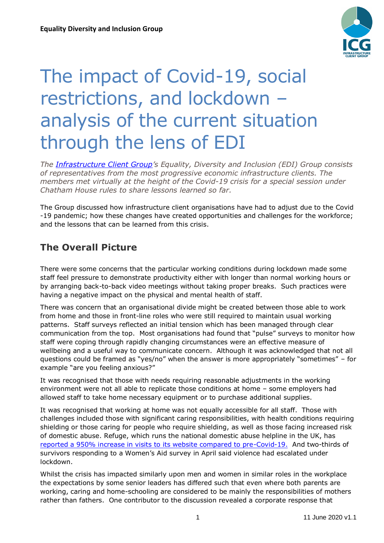

# The impact of Covid-19, social restrictions, and lockdown – analysis of the current situation through the lens of EDI

*The [Infrastructure Client Group](http://www.ice.org.uk/icg)'s Equality, Diversity and Inclusion (EDI) Group consists of representatives from the most progressive economic infrastructure clients. The members met virtually at the height of the Covid-19 crisis for a special session under Chatham House rules to share lessons learned so far.* 

The Group discussed how infrastructure client organisations have had to adjust due to the Covid -19 pandemic; how these changes have created opportunities and challenges for the workforce; and the lessons that can be learned from this crisis.

### **The Overall Picture**

There were some concerns that the particular working conditions during lockdown made some staff feel pressure to demonstrate productivity either with longer than normal working hours or by arranging back-to-back video meetings without taking proper breaks. Such practices were having a negative impact on the physical and mental health of staff.

There was concern that an organisational divide might be created between those able to work from home and those in front-line roles who were still required to maintain usual working patterns. Staff surveys reflected an initial tension which has been managed through clear communication from the top. Most organisations had found that "pulse" surveys to monitor how staff were coping through rapidly changing circumstances were an effective measure of wellbeing and a useful way to communicate concern. Although it was acknowledged that not all questions could be framed as "yes/no" when the answer is more appropriately "sometimes" – for example "are you feeling anxious?"

It was recognised that those with needs requiring reasonable adjustments in the working environment were not all able to replicate those conditions at home – some employers had allowed staff to take home necessary equipment or to purchase additional supplies.

It was recognised that working at home was not equally accessible for all staff. Those with challenges included those with significant caring responsibilities, with health conditions requiring shielding or those caring for people who require shielding, as well as those facing increased risk of domestic abuse. Refuge, which runs the national domestic abuse helpline in the UK, has [reported a 950% increase in visits to its website compared to pre-Covid-19.](https://www.refuge.org.uk/refuge-reports-further-increase-in-demand-for-its-national-domestic-abuse-helpline-services-during-lockdown/) And two-thirds of survivors responding to a Women's Aid survey in April said violence had escalated under lockdown.

Whilst the crisis has impacted similarly upon men and women in similar roles in the workplace the expectations by some senior leaders has differed such that even where both parents are working, caring and home-schooling are considered to be mainly the responsibilities of mothers rather than fathers. One contributor to the discussion revealed a corporate response that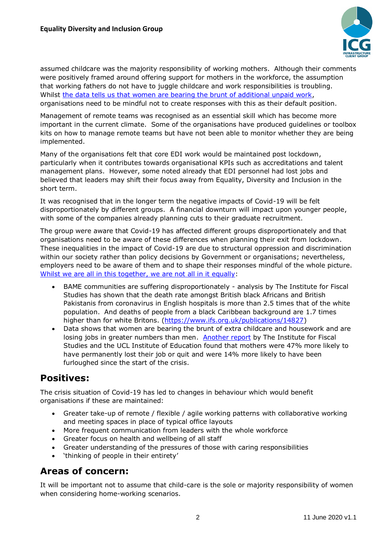

assumed childcare was the majority responsibility of working mothers. Although their comments were positively framed around offering support for mothers in the workforce, the assumption that working fathers do not have to juggle childcare and work responsibilities is troubling. Whilst [the data tells us that women are bearing the brunt of additional unpaid work,](https://www.ons.gov.uk/economy/nationalaccounts/satelliteaccounts/bulletins/coronavirusandhowpeoplespenttheirtimeunderrestrictions/28marchto26april2020) organisations need to be mindful not to create responses with this as their default position.

Management of remote teams was recognised as an essential skill which has become more important in the current climate. Some of the organisations have produced guidelines or toolbox kits on how to manage remote teams but have not been able to monitor whether they are being implemented.

Many of the organisations felt that core EDI work would be maintained post lockdown, particularly when it contributes towards organisational KPIs such as accreditations and talent management plans. However, some noted already that EDI personnel had lost jobs and believed that leaders may shift their focus away from Equality, Diversity and Inclusion in the short term.

It was recognised that in the longer term the negative impacts of Covid-19 will be felt disproportionately by different groups. A financial downturn will impact upon younger people, with some of the companies already planning cuts to their graduate recruitment.

The group were aware that Covid-19 has affected different groups disproportionately and that organisations need to be aware of these differences when planning their exit from lockdown. These inequalities in the impact of Covid-19 are due to structural oppression and discrimination within our society rather than policy decisions by Government or organisations; nevertheless, employers need to be aware of them and to shape their responses mindful of the whole picture. [Whilst we are all in this together,](https://www.ifs.org.uk/publications/14821) we are not all in it equally:

- BAME communities are suffering disproportionately analysis by The Institute for Fiscal Studies has shown that the death rate amongst British black Africans and British Pakistanis from coronavirus in English hospitals is more than 2.5 times that of the white population. And deaths of people from a black Caribbean background are 1.7 times higher than for white Britons. [\(https://www.ifs.org.uk/publications/14827\)](https://www.ifs.org.uk/publications/14827)
- Data shows that women are bearing the brunt of extra childcare and housework and are losing jobs in greater numbers than men. [Another report](https://www.theguardian.com/world/2020/may/27/working-mothers-interrupted-more-often-than-fathers-in-lockdown-study) by The Institute for Fiscal Studies and the UCL Institute of Education found that mothers were 47% more likely to have permanently lost their job or quit and were 14% more likely to have been furloughed since the start of the crisis.

#### **Positives:**

The crisis situation of Covid-19 has led to changes in behaviour which would benefit organisations if these are maintained:

- Greater take-up of remote / flexible / agile working patterns with collaborative working and meeting spaces in place of typical office layouts
- More frequent communication from leaders with the whole workforce
- Greater focus on health and wellbeing of all staff
- Greater understanding of the pressures of those with caring responsibilities
- 'thinking of people in their entirety'

#### **Areas of concern:**

It will be important not to assume that child-care is the sole or majority responsibility of women when considering home-working scenarios.